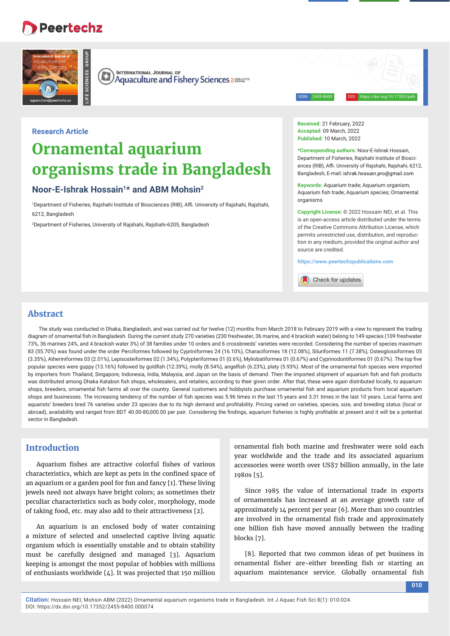# **Peertechz**

**LIFE SCIENCES GROUP**



**INTERNATIONAL JOURNAL OF** Œ **Aquaculture and Fishery Sciences assessers** 

ISSN: 2455-8400 DOI: https://doi.org/10.17352/ijafs

# **Research Article**

# **Ornamental aquarium organisms trade in Bangladesh**

# **Noor-E-Ishrak Hossain1\* and ABM Mohsin2**

<sup>1</sup>Department of Fisheries, Rajshahi Institute of Biosciences (RIB), Affi. University of Rajshahi, Rajshahi, 6212, Bangladesh

2 Department of Fisheries, University of Rajshahi, Rajshahi-6205, Bangladesh

#### **Received:** 21 February, 2022 **Accepted:** 09 March, 2022 **Published:** 10 March, 2022

**\*Corresponding authors:** Noor-E-Ishrak Hossain, Department of Fisheries, Rajshahi Institute of Biosciences (RIB), Affi. University of Rajshahi, Rajshahi, 6212, Bangladesh, E-mail: ishrak.hossain.pro@gmail.com

**Keywords:** Aquarium trade; Aquarium organism; Aquarium fish trade; Aquarium species; Ornamental organisms

**Copyright License:** © 2022 Hossain NEI, et al. This is an open-access article distributed under the terms of the Creative Commons Attribution License, which permits unrestricted use, distribution, and reproduction in any medium, provided the original author and source are credited.

**https://www.peertechzpublications.com**

Check for updates

## **Abstract**

The study was conducted in Dhaka, Bangladesh, and was carried out for twelve (12) months from March 2018 to February 2019 with a view to represent the trading diagram of ornamental fish in Bangladesh. During the current study 270 varieties (230 freshwater, 36 marine, and 4 brackish water) belong to 149 species (109 freshwater 73%, 36 marines 24%, and 4 brackish water 3%) of 38 families under 10 orders and 6 crossbreeds' varieties were recorded. Considering the number of species maximum 83 (55.70%) was found under the order Perciformes followed by Cypriniformes 24 (16.10%), Characiformes 18 (12.08%), Siluriformes 11 (7.38%), Osteoglossiformes 05  $(3.35%)$ , Atheriniformes 03  $(2.01%)$ , Lepisosteiformes 02  $(1.34%)$ , Polypteriformes 01  $(0.6%)$ , Myliobatiformes 01  $(0.67%)$  and Cyprinodontiformes 01  $(0.67%)$ . The top five popular species were guppy (13.16%) followed by goldfish (12.39%), molly (8.54%), angelfish (6.23%), platy (5.93%). Most of the ornamental fish species were imported by importers from Thailand, Singapore, Indonesia, India, Malaysia, and Japan on the basis of demand. Then the imported shipment of aquarium fish and fish products was distributed among Dhaka Katabon fish shops, wholesalers, and retailers, according to their given order. After that, these were again distributed locally, to aquarium shops, breeders, ornamental fish farms all over the country. General customers and hobbyists purchase ornamental fish and aquarium products from local aquarium shops and businesses. The increasing tendency of the number of fish species was 5.96 times in the last 15 years and 3.31 times in the last 10 years. Local farms and aquarists' breeders bred 76 varieties under 23 species due to its high demand and profitability. Pricing varied on varieties, species, size, and breeding status (local or abroad), availability and ranged from BDT 40.00-80,000.00 per pair. Considering the findings, aquarium fisheries is highly profitable at present and it will be a potential sector in Bangladesh.

# **Introduction**

Aquarium fishes are attractive colorful fishes of various characteristics, which are kept as pets in the confined space of an aquarium or a garden pool for fun and fancy [1]. These living jewels need not always have bright colors; as sometimes their peculiar characteristics such as body color, morphology, mode of taking food, etc. may also add to their attractiveness [2].

An aquarium is an enclosed body of water containing a mixture of selected and unselected captive living aquatic organism which is essentially unstable and to obtain stability must be carefully designed and managed [3]. Aquarium keeping is amongst the most popular of hobbies with millions of enthusiasts worldwide [4]. It was projected that 150 million

ornamental fish both marine and freshwater were sold each year worldwide and the trade and its associated aquarium accessories were worth over US\$7 billion annually, in the late 1980s [5].

Since 1985 the value of international trade in exports of ornamentals has increased at an average growth rate of approximately 14 percent per year [6]. More than 100 countries are involved in the ornamental fish trade and approximately one billion fish have moved annually between the trading blocks [7].

[8]. Reported that two common ideas of pet business in ornamental fisher are-either breeding fish or starting an aquarium maintenance service. Globally ornamental fish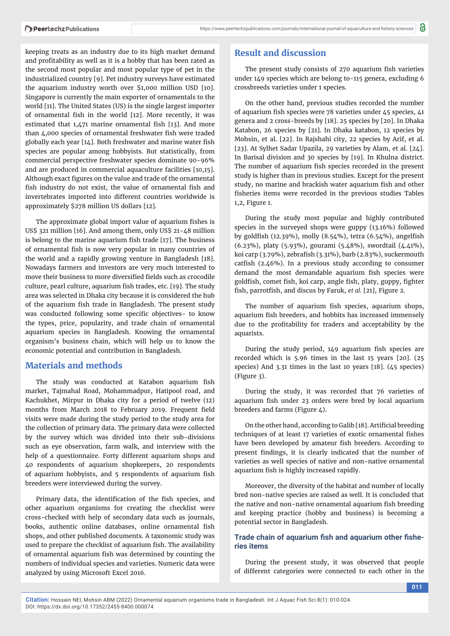keeping treats as an industry due to its high market demand and profitability as well as it is a hobby that has been rated as the second most popular and most popular type of pet in the industrialized country [9]. Pet industry surveys have estimated the aquarium industry worth over \$1,000 million USD [10]. Singapore is currently the main exporter of ornamentals to the world [11]. The United States (US) is the single largest importer of ornamental fish in the world [12]. More recently, it was estimated that  $1,471$  marine ornamental fish [13]. And more than 4,000 species of ornamental freshwater fish were traded globally each year  $[14]$ . Both freshwater and marine water fish species are popular among hobbyists. But statistically, from commercial perspective freshwater species dominate 90-96% and are produced in commercial aquaculture facilities [10,15]. Although exact figures on the value and trade of the ornamental fish industry do not exist, the value of ornamental fish and invertebrates imported into different countries worldwide is approximately \$278 million US dollars [12].

The approximate global import value of aquarium fishes is US\$ 321 million [16]. And among them, only US\$ 21-48 million is belong to the marine aquarium fish trade [17]. The business of ornamental fish is now very popular in many countries of the world and a rapidly growing venture in Bangladesh [18]. Nowadays farmers and investors are very much interested to move their business to more diversified fields such as crocodile culture, pearl culture, aquarium fish trades, etc. [19]. The study area was selected in Dhaka city because it is considered the hub of the aquarium fish trade in Bangladesh. The present study was conducted following some specific objectives- to know the types, price, popularity, and trade chain of ornamental aquarium species in Bangladesh. Knowing the ornamental organism's business chain, which will help us to know the economic potential and contribution in Bangladesh.

## **Materials and methods**

The study was conducted at Katabon aquarium fish market, Tajmahal Road, Mohammadpur, Hatipool road, and Kachukhet, Mirpur in Dhaka city for a period of twelve (12) months from March 2018 to February 2019. Frequent field visits were made during the study period to the study area for the collection of primary data. The primary data were collected by the survey which was divided into their sub-divisions such as eye observation, farm walk, and interview with the help of a questionnaire. Forty different aquarium shops and 40 respondents of aquarium shopkeepers, 20 respondents of aquarium hobbyists, and 5 respondents of aquarium fish breeders were interviewed during the survey.

Primary data, the identification of the fish species, and other aquarium organisms for creating the checklist were cross-checked with help of secondary data such as journals, books, authentic online databases, online ornamental fish shops, and other published documents. A taxonomic study was used to prepare the checklist of aquarium fish. The availability of ornamental aquarium fish was determined by counting the numbers of individual species and varieties. Numeric data were analyzed by using Microsoft Excel 2016.

## **Result and discussion**

The present study consists of 270 aquarium fish varieties under 149 species which are belong to-115 genera, excluding 6 crossbreeds varieties under 1 species.

On the other hand, previous studies recorded the number of aquarium fish species were 78 varieties under  $45$  species,  $41$ genera and 2 cross-breeds by [18]. 25 species by [20]. In Dhaka Katabon, 26 species by [21]. In Dhaka katabon, 12 species by Mohsin, et al. [22]. In Rajshahi city, 22 species by Arif, et al. [23]. At Sylhet Sadar Upazila, 29 varieties by Alam, et al. [24]. In Barisal division and 30 species by [19]. In Khulna district. The number of aquarium fish species recorded in the present study is higher than in previous studies. Except for the present study, no marine and brackish water aquarium fish and other fisheries items were recorded in the previous studies Tables 1,2, Figure 1.

During the study most popular and highly contributed species in the surveyed shops were guppy (13.16%) followed by goldfish (12.39%), molly (8.54%), tetra (6.54%), angelfish (6.23%), platy (5.93%), gourami (5.48%), swordtail (4.41%), koi carp (3.79%), zebrafish (3.31%), barb (2.83%), suckermouth catfish  $(2.46\%)$ . In a previous study according to consumer demand the most demandable aquarium fish species were goldfish, comet fish, koi carp, angle fish, platy, guppy, fighter fish, parrotfish, and discus by Faruk, *et al.* [21], Figure 2.

The number of aquarium fish species, aquarium shops, aquarium fish breeders, and hobbits has increased immensely due to the profitability for traders and acceptability by the aquarists.

During the study period, 149 aquarium fish species are recorded which is 5.96 times in the last 15 years [20]. (25 species) And 3.31 times in the last 10 years [18]. (45 species) (Figure 3).

During the study, it was recorded that 76 varieties of aquarium fish under 23 orders were bred by local aquarium breeders and farms (Figure 4).

On the other hand, according to Galib [18]. Artificial breeding techniques of at least 17 varieties of exotic ornamental fishes have been developed by amateur fish breeders. According to present findings, it is clearly indicated that the number of varieties as well species of native and non-native ornamental aquarium fish is highly increased rapidly.

Moreover, the diversity of the habitat and number of locally bred non-native species are raised as well. It is concluded that the native and non-native ornamental aquarium fish breeding and keeping practice (hobby and business) is becoming a potential sector in Bangladesh.

## Trade chain of aquarium fish and aquarium other fishe**ries items**

During the present study, it was observed that people of different categories were connected to each other in the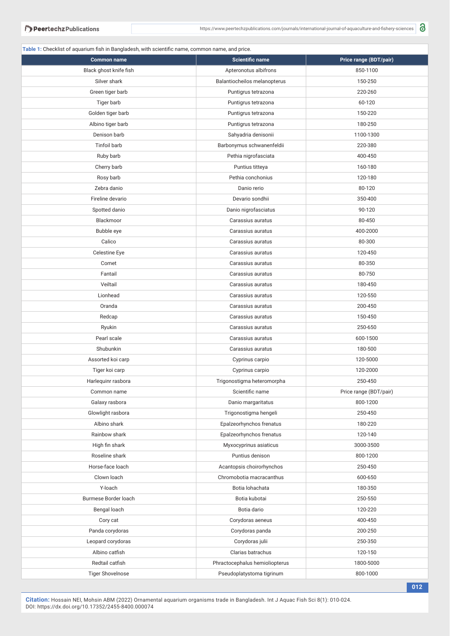**Table 1:** Checklist of aquarium fish in Bangladesh, with scientific name, common name, and price.

| <b>Common name</b>      | <b>Scientific name</b>         | Price range (BDT/pair) |
|-------------------------|--------------------------------|------------------------|
| Black ghost knife fish  | Apteronotus albifrons          | 850-1100               |
| Silver shark            | Balantiocheilos melanopterus   | 150-250                |
| Green tiger barb        | Puntigrus tetrazona            | 220-260                |
| Tiger barb              | Puntigrus tetrazona            | 60-120                 |
| Golden tiger barb       | Puntigrus tetrazona            | 150-220                |
| Albino tiger barb       | Puntigrus tetrazona            | 180-250                |
| Denison barb            | Sahyadria denisonii            | 1100-1300              |
| Tinfoil barb            | Barbonymus schwanenfeldii      | 220-380                |
| Ruby barb               | Pethia nigrofasciata           | 400-450                |
| Cherry barb             | Puntius titteya                | 160-180                |
| Rosy barb               | Pethia conchonius              | 120-180                |
| Zebra danio             | Danio rerio                    | 80-120                 |
| Fireline devario        | Devario sondhii                | 350-400                |
| Spotted danio           | Danio nigrofasciatus           | 90-120                 |
| Blackmoor               | Carassius auratus              | 80-450                 |
| Bubble eye              | Carassius auratus              | 400-2000               |
| Calico                  | Carassius auratus              | 80-300                 |
| Celestine Eye           | Carassius auratus              | 120-450                |
| Comet                   | Carassius auratus              | 80-350                 |
| Fantail                 | Carassius auratus              | 80-750                 |
| Veiltail                | Carassius auratus              | 180-450                |
| Lionhead                | Carassius auratus              | 120-550                |
| Oranda                  | Carassius auratus              | 200-450                |
| Redcap                  | Carassius auratus              | 150-450                |
| Ryukin                  | Carassius auratus              | 250-650                |
| Pearl scale             | Carassius auratus              | 600-1500               |
| Shubunkin               | Carassius auratus              | 180-500                |
| Assorted koi carp       | Cyprinus carpio                | 120-5000               |
| Tiger koi carp          | Cyprinus carpio                | 120-2000               |
| Harlequinr rasbora      | Trigonostigma heteromorpha     | 250-450                |
| Common name             | Scientific name                | Price range (BDT/pair) |
| Galaxy rasbora          | Danio margaritatus             | 800-1200               |
| Glowlight rasbora       | Trigonostigma hengeli          | 250-450                |
| Albino shark            | Epalzeorhynchos frenatus       | 180-220                |
| Rainbow shark           | Epalzeorhynchos frenatus       | 120-140                |
| High fin shark          | Myxocyprinus asiaticus         | 3000-3500              |
| Roseline shark          | Puntius denison                | 800-1200               |
| Horse-face loach        | Acantopsis choirorhynchos      | 250-450                |
| Clown loach             | Chromobotia macracanthus       | 600-650                |
| Y-loach                 | Botia lohachata                | 180-350                |
| Burmese Border loach    | Botia kubotai                  | 250-550                |
|                         |                                |                        |
| Bengal loach            | Botia dario                    | 120-220                |
| Cory cat                | Corydoras aeneus               | 400-450                |
| Panda corydoras         | Corydoras panda                | 200-250                |
| Leopard corydoras       | Corydoras julii                | 250-350                |
| Albino catfish          | Clarias batrachus              | 120-150                |
| Redtail catfish         | Phractocephalus hemioliopterus | 1800-5000              |
| <b>Tiger Shovelnose</b> | Pseudoplatystoma tigrinum      | 800-1000               |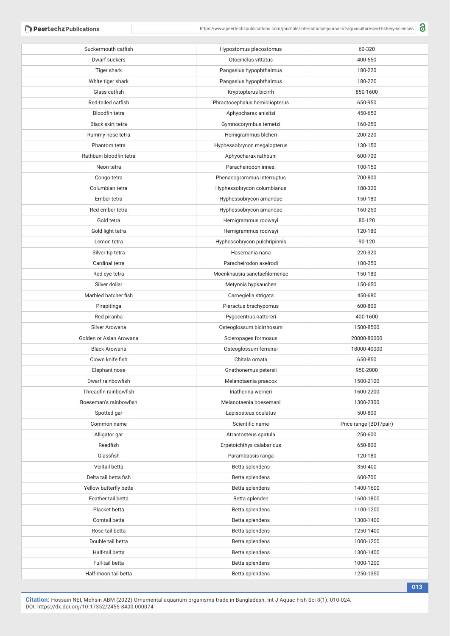| Suckermouth catfish     | Hypostomus plecostomus         | 60-320                 |
|-------------------------|--------------------------------|------------------------|
| Dwarf suckers           | Otocinclus vittatus            | 400-550                |
| Tiger shark             | Pangasius hypophthalmus        | 180-220                |
| White tiger shark       | Pangasius hypophthalmus        | 180-220                |
| Glass catfish           | Kryptopterus bicirrh           | 850-1600               |
| Red-tailed catfish      | Phractocephalus hemioliopterus | 650-950                |
| Bloodfin tetra          | Aphyocharax anisitsi           | 450-650                |
| Black skirt tetra       | Gymnocorymbus ternetzi         | 160-250                |
| Rummy nose tetra        | Hemigrammus bleheri            | 200-220                |
| Phantom tetra           | Hyphessobrycon megalopterus    | 130-150                |
| Rathbuni bloodfin tetra | Aphyocharax rathbuni           | 600-700                |
| Neon tetra              | Paracheirodon innesi           | 100-150                |
| Congo tetra             | Phenacogrammus interruptus     | 700-800                |
| Columbian tetra         | Hyphessobrycon columbianus     | 180-320                |
| Ember tetra             | Hyphessobrycon amandae         | 150-180                |
| Red ember tetra         | Hyphessobrycon amandae         | 160-250                |
| Gold tetra              | Hemigrammus rodwayi            | 80-120                 |
| Gold light tetra        | Hemigrammus rodwayi            | 120-180                |
| Lemon tetra             | Hyphessobrycon pulchripinnis   | 90-120                 |
| Silver tip tetra        | Hasemania nana                 | 220-320                |
| Cardinal tetra          | Paracheirodon axelrodi         | 180-250                |
| Red eye tetra           | Moenkhausia sanctaefilomenae   | 150-180                |
| Silver dollar           | Metynnis hypsauchen            | 150-650                |
| Marbled hatcher fish    | Carnegiella strigata           | 450-680                |
| Pirapitinga             | Piaractus brachypomus          | 600-800                |
| Red piranha             | Pygocentrus nattereri          | 400-1600               |
| Silver Arowana          | Osteoglossum bicirrhosum       | 1500-8500              |
| Golden or Asian Arowana | Scleropages formosus           | 20000-80000            |
| <b>Black Arowana</b>    | Osteoglossum ferreirai         | 18000-40000            |
| Clown knife fish        | Chitala ornata                 | 650-850                |
| Elephant nose           | Gnathonemus petersii           | 950-2000               |
| Dwarf rainbowfish       | Melanotaenia praecox           | 1500-2100              |
| Threadfin rainbowfish   | Iriatherina werneri            | 1600-2200              |
| Boeseman's rainbowfish  | Melanotaenia boesemani         | 1300-2300              |
| Spotted gar             | Lepisosteus oculatus           | 500-800                |
| Common name             | Scientific name                | Price range (BDT/pair) |
| Alligator gar           | Atractosteus spatula           | 250-600                |
| Reedfish                | Erpetoichthys calabaricus      | 650-800                |
| Glassfish               | Parambassis ranga              | 120-180                |
| Veiltail betta          | Betta splendens                | 350-400                |
| Delta tail betta fish   | Betta splendens                | 600-700                |
| Yellow butterfly betta  | Betta splendens                | 1400-1600              |
| Feather tail betta      | Betta splenden                 | 1600-1800              |
| Placket betta           | Betta splendens                | 1100-1200              |
| Comtail betta           | Betta splendens                | 1300-1400              |
| Rose-tail betta         | Betta splendens                | 1250-1400              |
| Double tail betta       | Betta splendens                | 1000-1200              |
| Half-tail betta         | Betta splendens                | 1300-1400              |
| Full-tail betta         | Betta splendens                | 1000-1200              |
| Half-moon tail betta    | Betta splendens                | 1250-1350              |
|                         |                                |                        |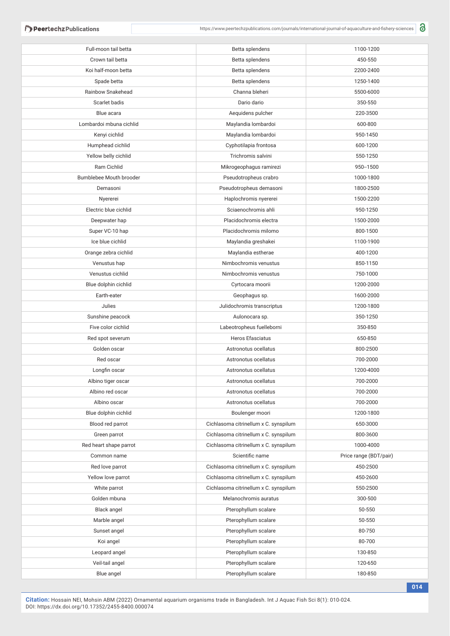**Peertechz Publications** 

| Full-moon tail betta    | Betta splendens                       | 1100-1200              |
|-------------------------|---------------------------------------|------------------------|
| Crown tail betta        | Betta splendens                       | 450-550                |
| Koi half-moon betta     | Betta splendens                       | 2200-2400              |
| Spade betta             | Betta splendens                       | 1250-1400              |
| Rainbow Snakehead       | Channa bleheri                        | 5500-6000              |
| Scarlet badis           | Dario dario                           | 350-550                |
| Blue acara              | Aequidens pulcher                     | 220-3500               |
| Lombardoi mbuna cichlid | Maylandia lombardoi                   | 600-800                |
| Kenyi cichlid           | Maylandia lombardoi                   | 950-1450               |
| Humphead cichlid        | Cyphotilapia frontosa                 | 600-1200               |
| Yellow belly cichlid    | Trichromis salvini                    | 550-1250               |
| Ram Cichlid             | Mikrogeophagus ramirezi               | 950 -- 1500            |
| Bumblebee Mouth brooder | Pseudotropheus crabro                 | 1000-1800              |
| Demasoni                | Pseudotropheus demasoni               | 1800-2500              |
| Nyererei                | Haplochromis nyererei                 | 1500-2200              |
| Electric blue cichlid   | Sciaenochromis ahli                   | 950-1250               |
| Deepwater hap           | Placidochromis electra                | 1500-2000              |
| Super VC-10 hap         | Placidochromis milomo                 | 800-1500               |
| Ice blue cichlid        | Maylandia greshakei                   | 1100-1900              |
| Orange zebra cichlid    | Maylandia estherae                    | 400-1200               |
| Venustus hap            | Nimbochromis venustus                 | 850-1150               |
| Venustus cichlid        | Nimbochromis venustus                 | 750-1000               |
| Blue dolphin cichlid    | Cyrtocara moorii                      | 1200-2000              |
| Earth-eater             | Geophagus sp.                         | 1600-2000              |
| Julies                  | Julidochromis transcriptus            | 1200-1800              |
| Sunshine peacock        | Aulonocara sp.                        | 350-1250               |
| Five color cichlid      | Labeotropheus fuelleborni             | 350-850                |
| Red spot severum        | <b>Heros Efasciatus</b>               | 650-850                |
| Golden oscar            | Astronotus ocellatus                  | 800-2500               |
| Red oscar               | Astronotus ocellatus                  | 700-2000               |
| Longfin oscar           | Astronotus ocellatus                  | 1200-4000              |
| Albino tiger oscar      | Astronotus ocellatus                  | 700-2000               |
| Albino red oscar        | Astronotus ocellatus                  | 700-2000               |
| Albino oscar            | Astronotus ocellatus                  | 700-2000               |
| Blue dolphin cichlid    | Boulenger moori                       | 1200-1800              |
| Blood red parrot        | Cichlasoma citrinellum x C. synspilum | 650-3000               |
| Green parrot            | Cichlasoma citrinellum x C. synspilum | 800-3600               |
| Red heart shape parrot  | Cichlasoma citrinellum x C. synspilum | 1000-4000              |
| Common name             | Scientific name                       | Price range (BDT/pair) |
| Red love parrot         | Cichlasoma citrinellum x C. synspilum | 450-2500               |
| Yellow love parrot      | Cichlasoma citrinellum x C. synspilum | 450-2600               |
| White parrot            | Cichlasoma citrinellum x C. synspilum | 550-2500               |
| Golden mbuna            | Melanochromis auratus                 | 300-500                |
| Black angel             | Pterophyllum scalare                  | 50-550                 |
| Marble angel            | Pterophyllum scalare                  | 50-550                 |
| Sunset angel            | Pterophyllum scalare                  | 80-750                 |
| Koi angel               | Pterophyllum scalare                  | 80-700                 |
| Leopard angel           | Pterophyllum scalare                  | 130-850                |
| Veil-tail angel         | Pterophyllum scalare                  | 120-650                |
| Blue angel              | Pterophyllum scalare                  | 180-850                |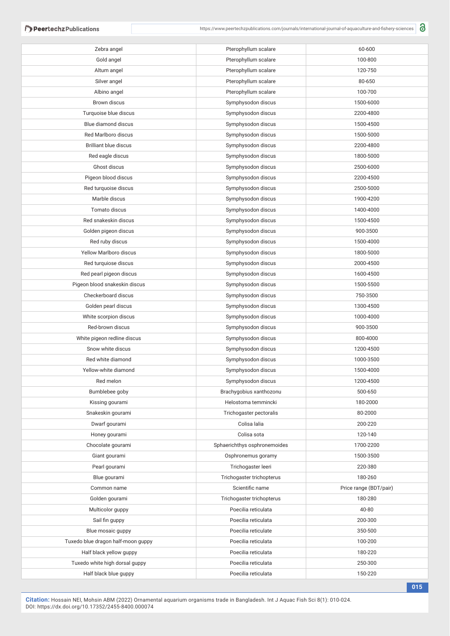**Peertechz Publications** 

| Zebra angel                        | Pterophyllum scalare         | 60-600                 |
|------------------------------------|------------------------------|------------------------|
| Gold angel                         | Pterophyllum scalare         | 100-800                |
| Altum angel                        | Pterophyllum scalare         | 120-750                |
| Silver angel                       | Pterophyllum scalare         | 80-650                 |
| Albino angel                       | Pterophyllum scalare         | 100-700                |
| Brown discus                       | Symphysodon discus           | 1500-6000              |
| Turquoise blue discus              | Symphysodon discus           | 2200-4800              |
| Blue diamond discus                | Symphysodon discus           | 1500-4500              |
| Red Marlboro discus                | Symphysodon discus           | 1500-5000              |
| <b>Brilliant blue discus</b>       | Symphysodon discus           | 2200-4800              |
| Red eagle discus                   | Symphysodon discus           | 1800-5000              |
| Ghost discus                       | Symphysodon discus           | 2500-6000              |
| Pigeon blood discus                | Symphysodon discus           | 2200-4500              |
| Red turquoise discus               | Symphysodon discus           | 2500-5000              |
| Marble discus                      | Symphysodon discus           | 1900-4200              |
| Tomato discus                      | Symphysodon discus           | 1400-4000              |
| Red snakeskin discus               | Symphysodon discus           | 1500-4500              |
| Golden pigeon discus               | Symphysodon discus           | 900-3500               |
| Red ruby discus                    | Symphysodon discus           | 1500-4000              |
| Yellow Marlboro discus             | Symphysodon discus           | 1800-5000              |
| Red turquiose discus               | Symphysodon discus           | 2000-4500              |
| Red pearl pigeon discus            | Symphysodon discus           | 1600-4500              |
| Pigeon blood snakeskin discus      | Symphysodon discus           | 1500-5500              |
| Checkerboard discus                | Symphysodon discus           | 750-3500               |
| Golden pearl discus                | Symphysodon discus           | 1300-4500              |
| White scorpion discus              | Symphysodon discus           | 1000-4000              |
| Red-brown discus                   | Symphysodon discus           | 900-3500               |
| White pigeon redline discus        | Symphysodon discus           | 800-4000               |
| Snow white discus                  | Symphysodon discus           | 1200-4500              |
| Red white diamond                  | Symphysodon discus           | 1000-3500              |
| Yellow-white diamond               | Symphysodon discus           | 1500-4000              |
| Red melon                          | Symphysodon discus           | 1200-4500              |
| Bumblebee goby                     | Brachygobius xanthozonu      | 500-650                |
| Kissing gourami                    | Helostoma temmincki          | 180-2000               |
| Snakeskin gourami                  | Trichogaster pectoralis      | 80-2000                |
| Dwarf gourami                      | Colisa lalia                 | 200-220                |
| Honey gourami                      | Colisa sota                  | 120-140                |
| Chocolate gourami                  | Sphaerichthys osphronemoides | 1700-2200              |
| Giant gourami                      | Osphronemus goramy           | 1500-3500              |
| Pearl gourami                      | Trichogaster leeri           | 220-380                |
| Blue gourami                       | Trichogaster trichopterus    | 180-260                |
| Common name                        | Scientific name              | Price range (BDT/pair) |
| Golden gourami                     | Trichogaster trichopterus    | 180-280                |
| Multicolor guppy                   | Poecilia reticulata          | 40-80                  |
| Sail fin guppy                     | Poecilia reticulata          | 200-300                |
| Blue mosaic guppy                  | Poecilia reticulate          | 350-500                |
| Tuxedo blue dragon half-moon guppy | Poecilia reticulata          | 100-200                |
| Half black yellow guppy            | Poecilia reticulata          | 180-220                |
| Tuxedo white high dorsal guppy     | Poecilia reticulata          | 250-300                |
| Half black blue guppy              | Poecilia reticulata          | 150-220                |
|                                    |                              |                        |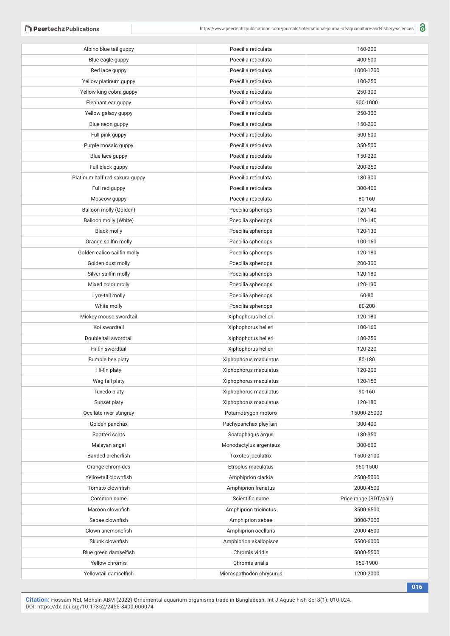| Albino blue tail guppy         | Poecilia reticulata      | 160-200                |
|--------------------------------|--------------------------|------------------------|
| Blue eagle guppy               | Poecilia reticulata      | 400-500                |
| Red lace guppy                 | Poecilia reticulata      | 1000-1200              |
| Yellow platinum guppy          | Poecilia reticulata      | 100-250                |
| Yellow king cobra guppy        | Poecilia reticulata      | 250-300                |
| Elephant ear guppy             | Poecilia reticulata      | 900-1000               |
| Yellow galaxy guppy            | Poecilia reticulata      | 250-300                |
| Blue neon guppy                | Poecilia reticulata      | 150-200                |
| Full pink guppy                | Poecilia reticulata      | 500-600                |
| Purple mosaic guppy            | Poecilia reticulata      | 350-500                |
| Blue lace guppy                | Poecilia reticulata      | 150-220                |
| Full black guppy               | Poecilia reticulata      | 200-250                |
| Platinum half red sakura guppy | Poecilia reticulata      | 180-300                |
| Full red guppy                 | Poecilia reticulata      | 300-400                |
| Moscow guppy                   | Poecilia reticulata      | 80-160                 |
| Balloon molly (Golden)         | Poecilia sphenops        | 120-140                |
| Balloon molly (White)          | Poecilia sphenops        | 120-140                |
| <b>Black molly</b>             | Poecilia sphenops        | 120-130                |
| Orange sailfin molly           | Poecilia sphenops        | 100-160                |
| Golden calico sailfin molly    | Poecilia sphenops        | 120-180                |
| Golden dust molly              | Poecilia sphenops        | 200-300                |
| Silver sailfin molly           | Poecilia sphenops        | 120-180                |
| Mixed color molly              | Poecilia sphenops        | 120-130                |
| Lyre-tail molly                | Poecilia sphenops        | 60-80                  |
| White molly                    | Poecilia sphenops        | 80-200                 |
| Mickey mouse swordtail         | Xiphophorus helleri      | 120-180                |
| Koi swordtail                  | Xiphophorus helleri      | 100-160                |
| Double tail swordtail          | Xiphophorus helleri      | 180-250                |
| Hi-fin swordtail               | Xiphophorus helleri      | 120-220                |
| Bumble bee platy               | Xiphophorus maculatus    | 80-180                 |
| Hi-fin platy                   | Xiphophorus maculatus    | 120-200                |
| Wag tail platy                 | Xiphophorus maculatus    | 120-150                |
| Tuxedo platy                   | Xiphophorus maculatus    | 90-160                 |
| Sunset platy                   | Xiphophorus maculatus    | 120-180                |
| Ocellate river stingray        | Potamotrygon motoro      | 15000-25000            |
| Golden panchax                 | Pachypanchax playfairii  | 300-400                |
| Spotted scats                  | Scatophagus argus        | 180-350                |
| Malayan angel                  | Monodactylus argenteus   | 300-600                |
| Banded archerfish              | Toxotes jaculatrix       | 1500-2100              |
| Orange chromides               | Etroplus maculatus       | 950-1500               |
| Yellowtail clownfish           | Amphiprion clarkia       | 2500-5000              |
| Tomato clownfish               | Amphiprion frenatus      | 2000-4500              |
| Common name                    | Scientific name          | Price range (BDT/pair) |
| Maroon clownfish               | Amphiprion tricinctus    | 3500-6500              |
| Sebae clownfish                | Amphiprion sebae         | 3000-7000              |
| Clown anemonefish              | Amphiprion ocellaris     | 2000-4500              |
| Skunk clownfish                | Amphiprion akallopisos   | 5500-6000              |
| Blue green damselfish          | Chromis viridis          | 5000-5500              |
| Yellow chromis                 | Chromis analis           | 950-1900               |
| Yellowtail damselfish          | Microspathodon chrysurus | 1200-2000              |
|                                |                          |                        |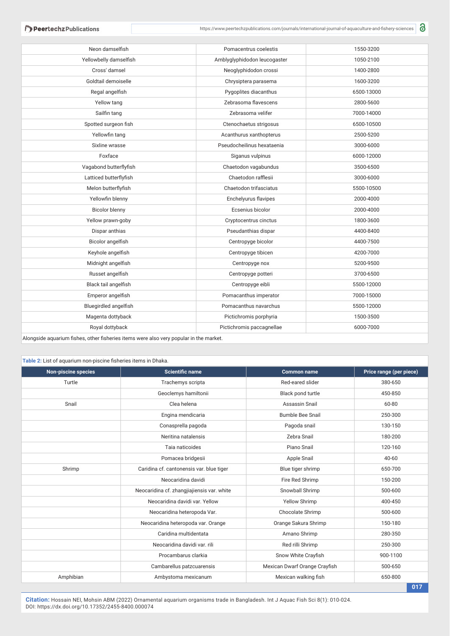**Peertechz Publications** 

| Neon damselfish                                                                        | Pomacentrus coelestis        | 1550-3200  |  |  |
|----------------------------------------------------------------------------------------|------------------------------|------------|--|--|
| Yellowbelly damselfish                                                                 | Amblyglyphidodon leucogaster | 1050-2100  |  |  |
| Cross' damsel                                                                          | Neoglyphidodon crossi        | 1400-2800  |  |  |
| Goldtail demoiselle                                                                    | Chrysiptera parasema         | 1600-3200  |  |  |
| Regal angelfish                                                                        | Pygoplites diacanthus        | 6500-13000 |  |  |
| Yellow tang                                                                            | Zebrasoma flavescens         | 2800-5600  |  |  |
| Sailfin tang                                                                           | Zebrasoma velifer            | 7000-14000 |  |  |
| Spotted surgeon fish                                                                   | Ctenochaetus strigosus       | 6500-10500 |  |  |
| Yellowfin tang                                                                         | Acanthurus xanthopterus      | 2500-5200  |  |  |
| Sixline wrasse                                                                         | Pseudocheilinus hexataenia   | 3000-6000  |  |  |
| Foxface                                                                                | Siganus vulpinus             | 6000-12000 |  |  |
| Vagabond butterflyfish                                                                 | Chaetodon vagabundus         | 3500-6500  |  |  |
| Latticed butterflyfish                                                                 | Chaetodon rafflesii          | 3000-6000  |  |  |
| Melon butterflyfish                                                                    | Chaetodon trifasciatus       | 5500-10500 |  |  |
| Yellowfin blenny                                                                       | Enchelyurus flavipes         | 2000-4000  |  |  |
| <b>Bicolor blenny</b>                                                                  | Ecsenius bicolor             | 2000-4000  |  |  |
| Yellow prawn-goby                                                                      | Cryptocentrus cinctus        | 1800-3600  |  |  |
| Dispar anthias                                                                         | Pseudanthias dispar          | 4400-8400  |  |  |
| Bicolor angelfish                                                                      | Centropyge bicolor           | 4400-7500  |  |  |
| Keyhole angelfish                                                                      | Centropyge tibicen           | 4200-7000  |  |  |
| Midnight angelfish                                                                     | Centropyge nox               | 5200-9500  |  |  |
| Russet angelfish                                                                       | Centropyge potteri           | 3700-6500  |  |  |
| Black tail angelfish                                                                   | Centropyge eibli             | 5500-12000 |  |  |
| Emperor angelfish                                                                      | Pomacanthus imperator        | 7000-15000 |  |  |
| Bluegirdled angelfish                                                                  | Pomacanthus navarchus        | 5500-12000 |  |  |
| Magenta dottyback                                                                      | Pictichromis porphyria       | 1500-3500  |  |  |
| Royal dottyback                                                                        | Pictichromis paccagnellae    | 6000-7000  |  |  |
| Alongside aquarium fishes, other fisheries items were also very popular in the market. |                              |            |  |  |

#### **Table 2:** List of aquarium non-piscine fisheries items in Dhaka.

| <b>Non-piscine species</b> | <b>Scientific name</b>                     | <b>Common name</b>            | Price range (per piece) |
|----------------------------|--------------------------------------------|-------------------------------|-------------------------|
| Turtle                     | Trachemys scripta                          | Red-eared slider              | 380-650                 |
|                            | Geoclemys hamiltonii                       | Black pond turtle             | 450-850                 |
| Snail                      | Clea helena                                | Assassin Snail                | 60-80                   |
|                            | Engina mendicaria                          | <b>Bumble Bee Snail</b>       | 250-300                 |
|                            | Conasprella pagoda                         | Pagoda snail                  | 130-150                 |
|                            | Neritina natalensis                        | Zebra Snail                   | 180-200                 |
|                            | Taia naticoides                            | Piano Snail                   | 120-160                 |
|                            | Pomacea bridgesii                          | Apple Snail                   | 40-60                   |
| Shrimp                     | Caridina cf. cantonensis var. blue tiger   | Blue tiger shrimp             | 650-700                 |
|                            | Neocaridina davidi                         | Fire Red Shrimp               | 150-200                 |
|                            | Neocaridina cf. zhangjiajiensis var. white | Snowball Shrimp               | 500-600                 |
|                            | Neocaridina davidi var. Yellow             | <b>Yellow Shrimp</b>          | 400-450                 |
|                            | Neocaridina heteropoda Var.                | Chocolate Shrimp              | 500-600                 |
|                            | Neocaridina heteropoda var. Orange         | Orange Sakura Shrimp          | 150-180                 |
|                            | Caridina multidentata                      | Amano Shrimp                  | 280-350                 |
|                            | Neocaridina davidi var. rili               | Red rilli Shrimp              | 250-300                 |
|                            | Procambarus clarkia                        | Snow White Crayfish           | 900-1100                |
|                            | Cambarellus patzcuarensis                  | Mexican Dwarf Orange Crayfish | 500-650                 |
| Amphibian                  | Ambystoma mexicanum                        | Mexican walking fish          | 650-800                 |
|                            |                                            |                               | 017                     |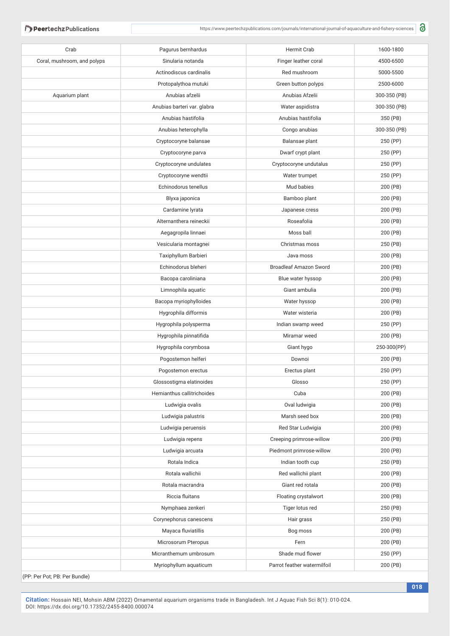| Crab                        | Pagurus bernhardus                 | Hermit Crab                   | 1600-1800    |
|-----------------------------|------------------------------------|-------------------------------|--------------|
| Coral, mushroom, and polyps | Sinularia notanda                  | Finger leather coral          | 4500-6500    |
|                             | Actinodiscus cardinalis            | Red mushroom                  | 5000-5500    |
|                             | Protopalythoa mutuki               | Green button polyps           | 2500-6000    |
| Aquarium plant              | Anubias afzelii                    | Anubias Afzelii               | 300-350 (PB) |
|                             | Anubias barteri var. glabra        | Water aspidistra              | 300-350 (PB) |
|                             | Anubias hastifolia                 | Anubias hastifolia            | 350 (PB)     |
|                             | Anubias heterophylla               | Congo anubias                 | 300-350 (PB) |
|                             | Cryptocoryne balansae              | Balansae plant                | 250 (PP)     |
|                             | Cryptocoryne parva                 | Dwarf crypt plant             | 250 (PP)     |
|                             | Cryptocoryne undulates             | Cryptocoryne undutalus        | 250 (PP)     |
|                             | Cryptocoryne wendtii               | Water trumpet                 | 250 (PP)     |
|                             | Echinodorus tenellus               | Mud babies                    | 200 (PB)     |
|                             |                                    |                               | 200 (PB)     |
|                             | Blyxa japonica<br>Cardamine lyrata | Bamboo plant                  |              |
|                             |                                    | Japanese cress                | 200 (PB)     |
|                             | Alternanthera reineckii            | Roseafolia                    | 200 (PB)     |
|                             | Aegagropila linnaei                | Moss ball                     | 200 (PB)     |
|                             | Vesicularia montagnei              | Christmas moss                | 250 (PB)     |
|                             | Taxiphyllum Barbieri               | Java moss                     | 200 (PB)     |
|                             | Echinodorus bleheri                | <b>Broadleaf Amazon Sword</b> | 200 (PB)     |
|                             | Bacopa caroliniana                 | Blue water hyssop             | 200 (PB)     |
|                             | Limnophila aquatic                 | Giant ambulia                 | 200 (PB)     |
|                             | Bacopa myriophylloides             | Water hyssop                  | 200 (PB)     |
|                             | Hygrophila difformis               | Water wisteria                | 200 (PB)     |
|                             | Hygrophila polysperma              | Indian swamp weed             | 250 (PP)     |
|                             | Hygrophila pinnatifida             | Miramar weed                  | 200 (PB)     |
|                             | Hygrophila corymbosa               | Giant hygo                    | 250-300(PP)  |
|                             | Pogostemon helferi                 | Downoi                        | 200 (PB)     |
|                             | Pogostemon erectus                 | Erectus plant                 | 250 (PP)     |
|                             | Glossostigma elatinoides           | Glosso                        | 250 (PP)     |
|                             | Hemianthus callitrichoides         | Cuba                          | 200 (PB)     |
|                             | Ludwigia ovalis                    | Oval ludwigia                 | 200 (PB)     |
|                             | Ludwigia palustris                 | Marsh seed box                | 200 (PB)     |
|                             | Ludwigia peruensis                 | Red Star Ludwigia             | 200 (PB)     |
|                             | Ludwigia repens                    | Creeping primrose-willow      | 200 (PB)     |
|                             | Ludwigia arcuata                   | Piedmont primrose-willow      | 200 (PB)     |
|                             | Rotala Indica                      | Indian tooth cup              | 250 (PB)     |
|                             | Rotala wallichii                   | Red wallichii plant           | 200 (PB)     |
|                             | Rotala macrandra                   | Giant red rotala              | 200 (PB)     |
|                             | Riccia fluitans                    | Floating crystalwort          | 200 (PB)     |
|                             | Nymphaea zenkeri                   | Tiger lotus red               | 250 (PB)     |
|                             | Corynephorus canescens             | Hair grass                    | 250 (PB)     |
|                             | Mayaca fluviatillis                | Bog moss                      | 200 (PB)     |
|                             | Microsorum Pteropus                | Fern                          | 200 (PB)     |
|                             | Micranthemum umbrosum              | Shade mud flower              | 250 (PP)     |
|                             | Myriophyllum aquaticum             | Parrot feather watermilfoil   | 200 (PB)     |
|                             |                                    |                               |              |

(PP: Per Pot; PB: Per Bundle)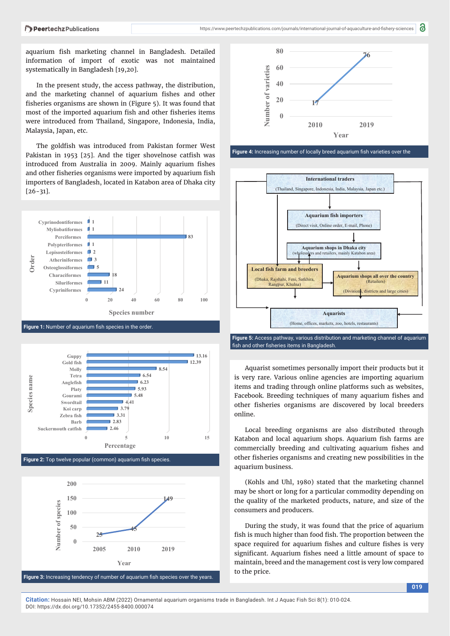aquarium fish marketing channel in Bangladesh. Detailed information of import of exotic was not maintained systematically in Bangladesh [19,20].

In the present study, the access pathway, the distribution, and the marketing channel of aquarium fishes and other fisheries organisms are shown in (Figure 5). It was found that most of the imported aquarium fish and other fisheries items were introduced from Thailand, Singapore, Indonesia, India, Malaysia, Japan, etc.

The goldfish was introduced from Pakistan former West Pakistan in 1953  $[25]$ . And the tiger shovelnose catfish was introduced from Australia in 2009. Mainly aquarium fishes and other fisheries organisms were imported by aquarium fish importers of Bangladesh, located in Katabon area of Dhaka city [26-31].









8

Figure 4: Increasing number of locally breed aquarium fish varieties over the



fish and other fisheries items in Bangladesh.

Aquarist sometimes personally import their products but it is very rare. Various online agencies are importing aquarium items and trading through online platforms such as websites, Facebook. Breeding techniques of many aquarium fishes and other fisheries organisms are discovered by local breeders online.

Local breeding organisms are also distributed through Katabon and local aquarium shops. Aquarium fish farms are commercially breeding and cultivating aquarium fishes and other fisheries organisms and creating new possibilities in the aquarium business.

(Kohls and Uhl, 1980) stated that the marketing channel may be short or long for a particular commodity depending on the quality of the marketed products, nature, and size of the consumers and producers.

During the study, it was found that the price of aquarium fish is much higher than food fish. The proportion between the space required for aquarium fishes and culture fishes is very significant. Aquarium fishes need a little amount of space to maintain, breed and the management cost is very low compared to the price.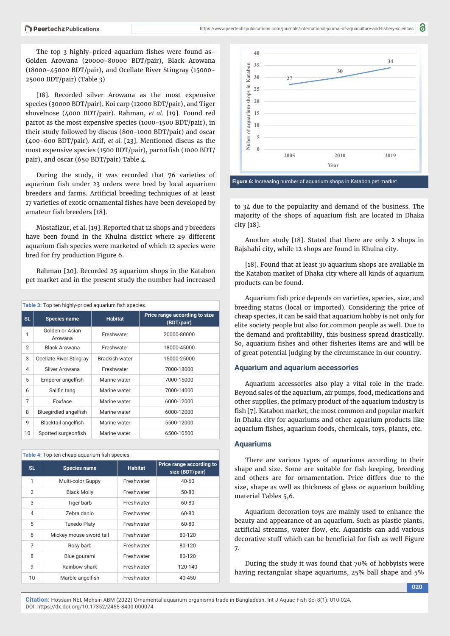The top 3 highly-priced aquarium fishes were found as-Golden Arowana (20000-80000 BDT/pair), Black Arowana (18000-45000 BDT/pair), and Ocellate River Stingray (15000- 25000 BDT/pair) (Table 3)

[18]. Recorded silver Arowana as the most expensive species (30000 BDT/pair), Koi carp (12000 BDT/pair), and Tiger shovelnose (4000 BDT/pair). Rahman, *et al.* [19]. Found red parrot as the most expensive species (1000-1500 BDT/pair), in their study followed by discus (800-1000 BDT/pair) and oscar (400-600 BDT/pair). Arif, *et al.* [23]. Mentioned discus as the most expensive species (1500 BDT/pair), parrotfish (1000 BDT/ pair), and oscar (650 BDT/pair) Table 4.

During the study, it was recorded that 76 varieties of aquarium fish under 23 orders were bred by local aquarium breeders and farms. Artificial breeding techniques of at least 17 varieties of exotic ornamental fishes have been developed by amateur fish breeders [18].

Mostafizur, et al. [19]. Reported that 12 shops and 7 breeders have been found in the Khulna district where 29 different aquarium fish species were marketed of which 12 species were bred for fry production Figure 6.

Rahman [20]. Recorded 25 aquarium shops in the Katabon pet market and in the present study the number had increased

| Table 3: Top ten highly-priced aquarium fish species. |                            |                |                                             |  |
|-------------------------------------------------------|----------------------------|----------------|---------------------------------------------|--|
| <b>SL</b>                                             | <b>Species name</b>        | <b>Habitat</b> | Price range according to size<br>(BDT/pair) |  |
| 1                                                     | Golden or Asian<br>Arowana | Freshwater     | 20000-80000                                 |  |
| $\overline{2}$                                        | <b>Black Arowana</b>       | Freshwater     | 18000-45000                                 |  |
| 3                                                     | Ocellate River Stingray    | Brackish water | 15000-25000                                 |  |
| $\overline{4}$                                        | Silver Arowana             | Freshwater     | 7000-18000                                  |  |
| 5                                                     | Emperor angelfish          | Marine water   | 7000-15000                                  |  |
| 6                                                     | Sailfin tang               | Marine water   | 7000-14000                                  |  |
| 7                                                     | Foxface                    | Marine water   | 6000-12000                                  |  |
| 8                                                     | Bluegirdled angelfish      | Marine water   | 6000-12000                                  |  |
| 9                                                     | Blacktail angelfish        | Marine water   | 5500-12000                                  |  |
| 10                                                    | Spotted surgeonfish        | Marine water   | 6500-10500                                  |  |

|  | Table 4: Top ten cheap aquarium fish species. |  |
|--|-----------------------------------------------|--|
|  |                                               |  |

| <b>SL</b>      | <b>Species name</b>     | <b>Habitat</b> | Price range according to<br>size (BDT/pair) |
|----------------|-------------------------|----------------|---------------------------------------------|
| 1              | Multi-color Guppy       | Freshwater     | $40 - 60$                                   |
| $\overline{2}$ | <b>Black Molly</b>      | Freshwater     | 50-80                                       |
| 3              | Tiger barb              | Freshwater     | 60-80                                       |
| 4              | Zebra danio             | Freshwater     | 60-80                                       |
| 5              | <b>Tuxedo Platy</b>     | Freshwater     | 60-80                                       |
| 6              | Mickey mouse sword tail | Freshwater     | 80-120                                      |
| $\overline{7}$ | Rosy barb               | Freshwater     | 80-120                                      |
| 8              | Blue gourami            | Freshwater     | 80-120                                      |
| 9              | Rainbow shark           | Freshwater     | 120-140                                     |
| 10             | Marble angelfish        | Freshwater     | 40-450                                      |



a

to 34 due to the popularity and demand of the business. The majority of the shops of aquarium fish are located in Dhaka city [18].

Another study [18]. Stated that there are only 2 shops in Rajshahi city, while 12 shops are found in Khulna city.

[18]. Found that at least 30 aquarium shops are available in the Katabon market of Dhaka city where all kinds of aquarium products can be found.

Aquarium fish price depends on varieties, species, size, and breeding status (local or imported). Considering the price of cheap species, it can be said that aquarium hobby is not only for elite society people but also for common people as well. Due to the demand and profitability, this business spread drastically. So, aquarium fishes and other fisheries items are and will be of great potential judging by the circumstance in our country.

## **Aquarium and aquarium accessories**

Aquarium accessories also play a vital role in the trade. Beyond sales of the aquarium, air pumps, food, medications and other supplies, the primary product of the aquarium industry is fish [7]. Katabon market, the most common and popular market in Dhaka city for aquariums and other aquarium products like aquarium fishes, aquarium foods, chemicals, toys, plants, etc.

### **Aquariums**

There are various types of aquariums according to their shape and size. Some are suitable for fish keeping, breeding and others are for ornamentation. Price differs due to the size, shape as well as thickness of glass or aquarium building material Tables 5,6.

Aquarium decoration toys are mainly used to enhance the beauty and appearance of an aquarium. Such as plastic plants, artificial streams, water flow, etc. Aquarists can add various decorative stuff which can be beneficial for fish as well Figure 7.

During the study it was found that 70% of hobbyists were having rectangular shape aquariums, 25% ball shape and 5%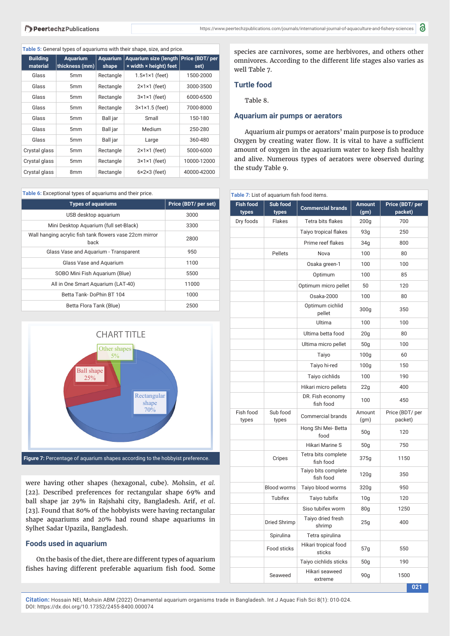#### **Table 5:** General types of aquariums with their shape, size, and price.

| <b>Building</b><br>material | <b>Aquarium</b><br>thickness (mm) | <b>Aquarium</b><br>shape | Aquarium size (length   Price (BDT/ per<br>x width x height) feet | set)        |
|-----------------------------|-----------------------------------|--------------------------|-------------------------------------------------------------------|-------------|
| Glass                       | 5 <sub>mm</sub>                   | Rectangle                | $1.5 \times 1 \times 1$ (feet)                                    | 1500-2000   |
| Glass                       | 5 <sub>mm</sub>                   | Rectangle                | $2 \times 1 \times 1$ (feet)                                      | 3000-3500   |
| Glass                       | 5 <sub>mm</sub>                   | Rectangle                | $3 \times 1 \times 1$ (feet)                                      | 6000-6500   |
| Glass                       | 5 <sub>mm</sub>                   | Rectangle                | $3\times1\times1.5$ (feet)                                        | 7000-8000   |
| Glass                       | 5 <sub>mm</sub>                   | Ball jar                 | Small                                                             | 150-180     |
| Glass                       | 5 <sub>mm</sub>                   | Ball jar                 | Medium                                                            | 250-280     |
| Glass                       | 5 <sub>mm</sub>                   | Ball jar                 | Large                                                             | 360-480     |
| Crystal glass               | 5 <sub>mm</sub>                   | Rectangle                | $2 \times 1 \times 1$ (feet)                                      | 5000-6000   |
| Crystal glass               | 5 <sub>mm</sub>                   | Rectangle                | $3\times1\times1$ (feet)                                          | 10000-12000 |
| Crystal glass               | 8 <sub>mm</sub>                   | Rectangle                | $6 \times 2 \times 3$ (feet)                                      | 40000-42000 |

**Table 6:** Exceptional types of aquariums and their price.

| <b>Types of aquariums</b>                                       | Price (BDT/ per set) |
|-----------------------------------------------------------------|----------------------|
| USB desktop aquarium                                            | 3000                 |
| Mini Desktop Aquarium (full set-Black)                          | 3300                 |
| Wall hanging acrylic fish tank flowers vase 22cm mirror<br>back | 2800                 |
| Glass Vase and Aquarium - Transparent                           | 950                  |
| Glass Vase and Aquarium                                         | 1100                 |
| SOBO Mini Fish Aguarium (Blue)                                  | 5500                 |
| All in One Smart Aguarium (LAT-40)                              | 11000                |
| Betta Tank-DoPhin BT 104                                        | 1000                 |
| Betta Flora Tank (Blue)                                         | 2500                 |



were having other shapes (hexagonal, cube). Mohsin, *et al.* [22]. Described preferences for rectangular shape 69% and ball shape jar 29% in Rajshahi city, Bangladesh. Arif, *et al*. [23]. Found that 80% of the hobbyists were having rectangular shape aquariums and 20% had round shape aquariums in Sylhet Sadar Upazila, Bangladesh.

## **Foods used in aquarium**

On the basis of the diet, there are different types of aquarium fishes having different preferable aquarium fish food. Some

species are carnivores, some are herbivores, and others other omnivores. According to the different life stages also varies as well Table 7.

## **Turtle food**

Table 8.

## **Aquarium air pumps or aerators**

Aquarium air pumps or aerators' main purpose is to produce Oxygen by creating water flow. It is vital to have a sufficient amount of oxygen in the aquarium water to keep fish healthy and alive. Numerous types of aerators were observed during the study Table 9.

|                           | Table 7: List of aquarium fish food items. |                                  |                       |                            |
|---------------------------|--------------------------------------------|----------------------------------|-----------------------|----------------------------|
| <b>Fish food</b><br>types | Sub food<br>types                          | <b>Commercial brands</b>         | <b>Amount</b><br>(gm) | Price (BDT/ per<br>packet) |
| Dry foods                 | Flakes                                     | Tetra bits flakes                | 200 <sub>g</sub>      | 700                        |
|                           |                                            | <b>Taiyo tropical flakes</b>     | 93g                   | 250                        |
|                           |                                            | Prime reef flakes                | 34g                   | 800                        |
|                           | Pellets                                    | Nova                             | 100                   | 80                         |
|                           |                                            | Osaka green-1                    | 100                   | 100                        |
|                           |                                            | Optimum                          | 100                   | 85                         |
|                           |                                            | Optimum micro pellet             | 50                    | 120                        |
|                           |                                            | Osaka-2000                       | 100                   | 80                         |
|                           |                                            | Optimum cichlid<br>pellet        | 300g                  | 350                        |
|                           |                                            | Ultima                           | 100                   | 100                        |
|                           |                                            | Ultima betta food                | 20 <sub>g</sub>       | 80                         |
|                           |                                            | Ultima micro pellet              | 50 <sub>g</sub>       | 100                        |
|                           |                                            | Taiyo                            | 100 <sub>g</sub>      | 60                         |
|                           |                                            | Taiyo hi-red                     | 100 <sub>g</sub>      | 150                        |
|                           |                                            | Taiyo cichlids                   | 100                   | 190                        |
|                           |                                            | Hikari micro pellets             | 22g                   | 400                        |
|                           |                                            | DR. Fish economy<br>fish food    | 100                   | 450                        |
| Fish food<br>types        | Sub food<br>types                          | Commercial brands                | Amount<br>(gm)        | Price (BDT/ per<br>packet) |
|                           |                                            | Hong Shi Mei-Betta<br>food       | 50 <sub>g</sub>       | 120                        |
|                           |                                            | <b>Hikari Marine S</b>           | 50 <sub>g</sub>       | 750                        |
|                           | Cripes                                     | Tetra bits complete<br>fish food | 375g                  | 1150                       |
|                           |                                            | Taiyo bits complete<br>fish food | 120g                  | 350                        |
|                           | <b>Blood worms</b>                         | Taiyo blood worms                | 320g                  | 950                        |
|                           | Tubifex                                    | Taiyo tubifix                    | 10 <sub>g</sub>       | 120                        |
|                           |                                            | Siso tubifex worm                | 80 <sub>g</sub>       | 1250                       |
|                           | Dried Shrimp                               | Taiyo dried fresh<br>shrimp      | 25g                   | 400                        |
|                           | Spirulina                                  | Tetra spirulina                  |                       |                            |
|                           | Food sticks                                | Hikari tropical food<br>sticks   | 57g                   | 550                        |
|                           |                                            | Taiyo cichlids sticks            | 50 <sub>g</sub>       | 190                        |
|                           | Seaweed                                    | Hikari seaweed<br>extreme        | 90 <sub>g</sub>       | 1500                       |

**021**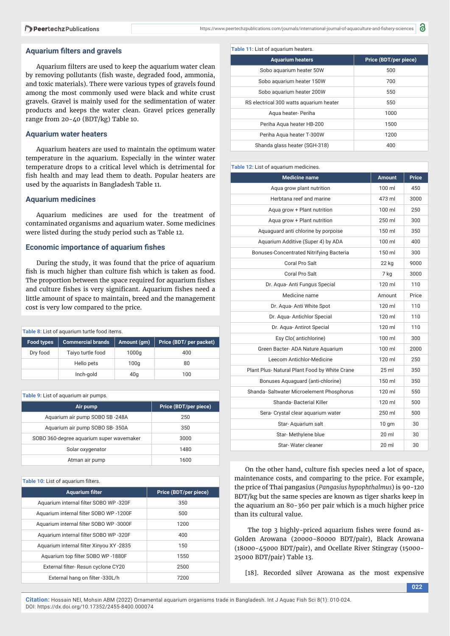#### **Aguarium filters and gravels**

Aquarium filters are used to keep the aquarium water clean by removing pollutants (fish waste, degraded food, ammonia, and toxic materials). There were various types of gravels found among the most commonly used were black and white crust gravels. Gravel is mainly used for the sedimentation of water products and keeps the water clean. Gravel prices generally range from 20-40 (BDT/kg) Table 10.

## **Aquarium water heaters**

Aquarium heaters are used to maintain the optimum water temperature in the aquarium. Especially in the winter water temperature drops to a critical level which is detrimental for fish health and may lead them to death. Popular heaters are used by the aquarists in Bangladesh Table 11.

### **Aquarium medicines**

Aquarium medicines are used for the treatment of contaminated organisms and aquarium water. Some medicines were listed during the study period such as Table 12.

## **Economic importance of aquarium fishes**

During the study, it was found that the price of aquarium fish is much higher than culture fish which is taken as food. The proportion between the space required for aquarium fishes and culture fishes is very significant. Aquarium fishes need a little amount of space to maintain, breed and the management cost is very low compared to the price.

| Table 8: List of aquarium turtle food items. |                   |                 |                        |
|----------------------------------------------|-------------------|-----------------|------------------------|
| <b>Food types</b>                            | Commercial brands | Amount (gm)     | Price (BDT/per packet) |
| Dry food                                     | Taiyo turtle food | 1000q           | 400                    |
|                                              | Hello pets        | 100q            | 80                     |
|                                              | Inch-gold         | 40 <sub>q</sub> | 100                    |

**Table 9:** List of aquarium air pumps.

| Air pump                                 | Price (BDT/per piece) |  |
|------------------------------------------|-----------------------|--|
| Aguarium air pump SOBO SB-248A           | 250                   |  |
| Aquarium air pump SOBO SB-350A           | 350                   |  |
| SOBO 360-degree aquarium super wavemaker | 3000                  |  |
| Solar oxygenator                         | 1480                  |  |
| Atman air pump                           | 1600                  |  |

#### **Table 10: List of aquarium filters.**

| <b>Aquarium filter</b>                   | Price (BDT/per piece) |
|------------------------------------------|-----------------------|
| Aquarium internal filter SOBO WP -320F   | 350                   |
| Aquarium internal filter SOBO WP-1200F   | 500                   |
| Aquarium internal filter SOBO WP -3000F  | 1200                  |
| Aguarium internal filter SOBO WP -320F   | 400                   |
| Aquarium internal filter Xinyou XY -2835 | 150                   |
| Aquarium top filter SOBO WP-1880F        | 1550                  |
| External filter-Resun cyclone CY20       | 2500                  |
| External hang on filter -330L/h          | 7200                  |

| <b>Aquarium heaters</b>                 | Price (BDT/per piece) |
|-----------------------------------------|-----------------------|
| Sobo aquarium heater 50W                | 500                   |
| Sobo aquarium heater 150W               | 700                   |
| Sobo aquarium heater 200W               | 550                   |
| RS electrical 300 watts aguarium heater | 550                   |
| Agua heater- Periha                     | 1000                  |
| Periha Agua heater HB-200               | 1500                  |
| Periha Agua heater T-300W               | 1200                  |
| Shanda glass heater (SGH-318)           | 400                   |
|                                         |                       |

#### **Table 12:** List of aquarium medicines.

| <b>Medicine name</b>                          | <b>Amount</b>     | <b>Price</b> |
|-----------------------------------------------|-------------------|--------------|
| Aqua grow plant nutrition                     | $100 \mathrm{ml}$ | 450          |
| Herbtana reef and marine                      | 473 ml            | 3000         |
| Aqua grow + Plant nutrition                   | 100 ml            | 250          |
| Agua grow + Plant nutrition                   | 250 ml            | 300          |
| Aquaguard anti chlorine by porpoise           | $150$ ml          | 350          |
| Aquarium Additive (Super 4) by ADA            | $100 \mathrm{ml}$ | 400          |
| Bonuses-Concentrated Nitrifying Bacteria      | 150 ml            | 300          |
| Coral Pro Salt                                | 22 kg             | 9000         |
| Coral Pro Salt                                | 7 kg              | 3000         |
| Dr. Aqua-Anti Fungus Special                  | 120 ml            | 110          |
| Medicine name                                 | Amount            | Price        |
| Dr. Aqua- Anti White Spot                     | 120 ml            | 110          |
| Dr. Agua-Antichlor Special                    | $120 \mathrm{m}$  | 110          |
| Dr. Aqua- Antirot Special                     | 120 ml            | 110          |
| Esy Clo( antichlorine)                        | 100 ml            | 300          |
| Green Bacter- ADA Nature Aquarium             | 100 ml            | 2000         |
| Leecom Antichlor-Medicine                     | 120 ml            | 250          |
| Plant Plus- Natural Plant Food by White Crane | 25 ml             | 350          |
| Bonuses Aquaguard (anti-chlorine)             | 150 ml            | 350          |
| Shanda-Saltwater Microelement Phosphorus      | 120 ml            | 550          |
| Shanda-Bacterial Killer                       | $120 \mathrm{m}$  | 500          |
| Sera- Crystal clear aquarium water            | 250 ml            | 500          |
| Star-Aquarium salt                            | 10 <sub>gm</sub>  | 30           |
| Star-Methylene blue                           | $20 \mathrm{ml}$  | 30           |
| Star-Water cleaner                            | $20$ ml           | 30           |

On the other hand, culture fish species need a lot of space, maintenance costs, and comparing to the price. For example, the price of Thai pangasius (*Pangasius hypophthalmus*) is 90-120 BDT/kg but the same species are known as tiger sharks keep in the aquarium an 80-360 per pair which is a much higher price than its cultural value.

The top 3 highly-priced aquarium fishes were found as-Golden Arowana (20000-80000 BDT/pair), Black Arowana (18000-45000 BDT/pair), and Ocellate River Stingray (15000- 25000 BDT/pair) Table 13.

[18]. Recorded silver Arowana as the most expensive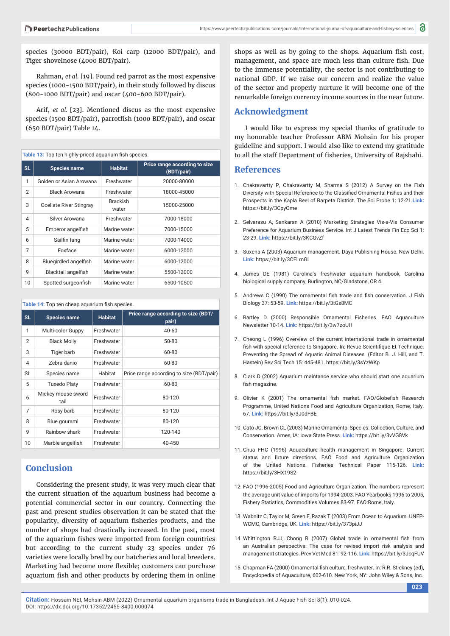species (30000 BDT/pair), Koi carp (12000 BDT/pair), and Tiger shovelnose (4000 BDT/pair).

Rahman, *et al.* [19]. Found red parrot as the most expensive species (1000-1500 BDT/pair), in their study followed by discus (800-1000 BDT/pair) and oscar (400-600 BDT/pair).

Arif, *et al.* [23]. Mentioned discus as the most expensive species (1500 BDT/pair), parrotfish (1000 BDT/pair), and oscar (650 BDT/pair) Table 14.

| Table 13: Top ten highly-priced aquarium fish species. |                              |                          |                                             |
|--------------------------------------------------------|------------------------------|--------------------------|---------------------------------------------|
| SL.                                                    | <b>Species name</b>          | <b>Habitat</b>           | Price range according to size<br>(BDT/pair) |
| 1                                                      | Golden or Asian Arowana      | Freshwater               | 20000-80000                                 |
| $\overline{2}$                                         | <b>Black Arowana</b>         | Freshwater               | 18000-45000                                 |
| 3                                                      | Ocellate River Stingray      | <b>Brackish</b><br>water | 15000-25000                                 |
| $\overline{\mathcal{A}}$                               | Silver Arowana               | Freshwater               | 7000-18000                                  |
| 5                                                      | Emperor angelfish            | Marine water             | 7000-15000                                  |
| 6                                                      | Sailfin tang                 | Marine water             | 7000-14000                                  |
| 7                                                      | Foxface                      | Marine water             | 6000-12000                                  |
| 8                                                      | <b>Bluegirdled angelfish</b> | Marine water             | 6000-12000                                  |
| 9                                                      | Blacktail angelfish          | Marine water             | 5500-12000                                  |
| 10                                                     | Spotted surgeonfish          | Marine water             | 6500-10500                                  |

#### Table 14: Top ten cheap aquarium fish species.

| SL.            | <b>Species name</b>        | <b>Habitat</b> | Price range according to size (BDT/<br>pair) |
|----------------|----------------------------|----------------|----------------------------------------------|
| 1              | Multi-color Guppy          | Freshwater     | $40 - 60$                                    |
| 2              | <b>Black Molly</b>         | Freshwater     | 50-80                                        |
| 3              | Tiger barb                 | Freshwater     | 60-80                                        |
| $\overline{4}$ | Zebra danio                | Freshwater     | 60-80                                        |
| <b>SL</b>      | Species name               | Habitat        | Price range according to size (BDT/pair)     |
| 5              | <b>Tuxedo Platy</b>        | Freshwater     | 60-80                                        |
| 6              | Mickey mouse sword<br>tail | Freshwater     | 80-120                                       |
| $\overline{7}$ | Rosy barb                  | Freshwater     | 80-120                                       |
| 8              | Blue gourami               | Freshwater     | 80-120                                       |
| 9              | Rainbow shark              | Freshwater     | 120-140                                      |
| 10             | Marble angelfish           | Freshwater     | 40-450                                       |

# **Conclusion**

Considering the present study, it was very much clear that the current situation of the aquarium business had become a potential commercial sector in our country. Connecting the past and present studies observation it can be stated that the popularity, diversity of aquarium fisheries products, and the number of shops had drastically increased. In the past, most of the aquarium fishes were imported from foreign countries but according to the current study 23 species under 76 varieties were locally bred by our hatcheries and local breeders. Marketing had become more flexible; customers can purchase aquarium fish and other products by ordering them in online

shops as well as by going to the shops. Aquarium fish cost, management, and space are much less than culture fish. Due to the immense potentiality, the sector is not contributing to national GDP. If we raise our concern and realize the value of the sector and properly nurture it will become one of the remarkable foreign currency income sources in the near future.

# **Acknowledgment**

I would like to express my special thanks of gratitude to my honorable teacher Professor ABM Mohsin for his proper guideline and support. I would also like to extend my gratitude to all the staff Department of fisheries, University of Rajshahi.

# **References**

- 1. Chakravartty P, Chakravartty M, Sharma S (2012) A Survey on the Fish Diversity with Special Reference to the Classified Ornamental Fishes and their Prospects in the Kapla Beel of Barpeta District. The Sci Probe 1: 12-21.**Link:** https://bit.ly/3CpyOme
- 2. Selvarasu A, Sankaran A (2010) Marketing Strategies Vis-a-Vis Consumer Preference for Aquarium Business Service. Int J Latest Trends Fin Eco Sci 1: 23-29. **Link:** https://bit.ly/3KCGvZf
- 3. Suxena A (2003) Aquarium management. Daya Publishing House. New Delhi. **Link:** https://bit.ly/3CFLmGl
- 4. James DE (1981) Carolina's freshwater aquarium handbook, Carolina biological supply company, Burlington, NC/Gladstone, OR 4.
- 5. Andrews C (1990) The ornamental fish trade and fish conservation. J Fish Biology 37: 53-59. **Link:** https://bit.ly/3tGs8MC
- 6. Bartley D (2000) Responsible Ornamental Fisheries. FAO Aquaculture Newsletter 10-14. **Link:** https://bit.ly/3w7zoUH
- 7. Cheong L (1996) Overview of the current international trade in ornamental fish with special reference to Singapore. In: Revue Scientifique Et Technique. Preventing the Spread of Aquatic Animal Diseases. (Editor B. J. Hill, and T. Hastein) Rev Sci Tech 15: 445-481. https://bit.ly/3sYzWKp
- 8. Clark D (2002) Aquarium maintance service who should start one aquarium fish magazine.
- 9. Olivier K (2001) The ornamental fish market. FAO/Globefish Research Programme, United Nations Food and Agriculture Organization, Rome, Italy. 67. **Link:** https://bit.ly/3J0dFBE
- 10. Cato JC, Brown CL (2003) Marine Ornamental Species: Collection, Culture, and Conservation. Ames, IA: Iowa State Press. **Link:** https://bit.ly/3vVG8Vk
- 11. Chua FHC (1996) Aquaculture health management in Singapore. Current status and future directions. FAO Food and Agriculture Organization of the United Nations. Fisheries Technical Paper 115-126. **Link:** https://bit.ly/3HX19S2
- 12. FAO (1996-2005) Food and Agriculture Organization. The numbers represent the average unit value of imports for 1994-2003. FAO Yearbooks 1996 to 2005, Fishery Statistics, Commodities Volumes 83-97. FAO:Rome, Italy.
- 13. Wabnitz C, Taylor M, Green E, Razak T (2003) From Ocean to Aquarium. UNEP-WCMC, Cambridge, UK. **Link:** https://bit.ly/373piJJ
- 14. Whittington RJJ, Chong R (2007) Global trade in ornamental fish from an Australian perspective: The case for revised import risk analysis and management strategies. Prev Vet Med 81: 92-116. **Link:** https://bit.ly/3JcqFUV
- 15. Chapman FA (2000) Ornamental fish culture, freshwater. In: R.R. Stickney (ed), Encyclopedia of Aquaculture, 602-610. New York, NY: John Wiley & Sons, Inc.